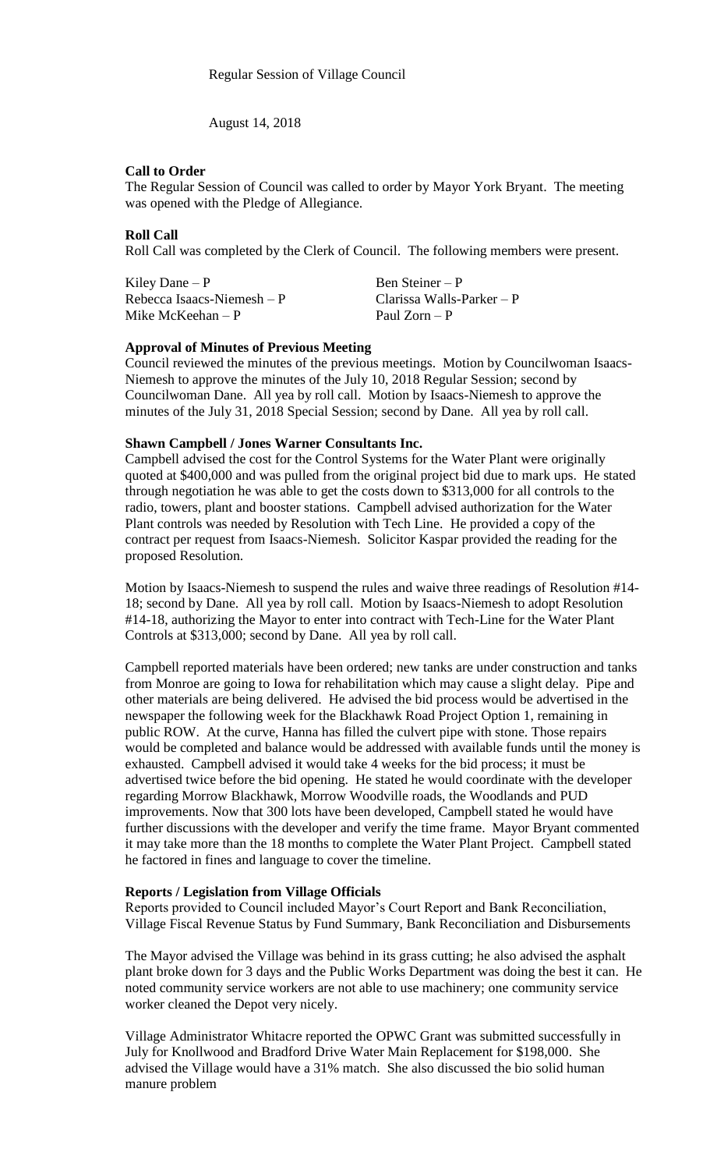August 14, 2018

## **Call to Order**

The Regular Session of Council was called to order by Mayor York Bryant. The meeting was opened with the Pledge of Allegiance.

# **Roll Call**

Roll Call was completed by the Clerk of Council. The following members were present.

Kiley Dane – P Ben Steiner – P Rebecca Isaacs-Niemesh – P Clarissa Walls-Parker – P<br>Mike McKeehan – P P Paul Zorn – P Mike McKeehan – P

## **Approval of Minutes of Previous Meeting**

Council reviewed the minutes of the previous meetings. Motion by Councilwoman Isaacs-Niemesh to approve the minutes of the July 10, 2018 Regular Session; second by Councilwoman Dane. All yea by roll call. Motion by Isaacs-Niemesh to approve the minutes of the July 31, 2018 Special Session; second by Dane. All yea by roll call.

## **Shawn Campbell / Jones Warner Consultants Inc.**

Campbell advised the cost for the Control Systems for the Water Plant were originally quoted at \$400,000 and was pulled from the original project bid due to mark ups. He stated through negotiation he was able to get the costs down to \$313,000 for all controls to the radio, towers, plant and booster stations. Campbell advised authorization for the Water Plant controls was needed by Resolution with Tech Line. He provided a copy of the contract per request from Isaacs-Niemesh. Solicitor Kaspar provided the reading for the proposed Resolution.

Motion by Isaacs-Niemesh to suspend the rules and waive three readings of Resolution #14- 18; second by Dane. All yea by roll call. Motion by Isaacs-Niemesh to adopt Resolution #14-18, authorizing the Mayor to enter into contract with Tech-Line for the Water Plant Controls at \$313,000; second by Dane. All yea by roll call.

Campbell reported materials have been ordered; new tanks are under construction and tanks from Monroe are going to Iowa for rehabilitation which may cause a slight delay. Pipe and other materials are being delivered. He advised the bid process would be advertised in the newspaper the following week for the Blackhawk Road Project Option 1, remaining in public ROW. At the curve, Hanna has filled the culvert pipe with stone. Those repairs would be completed and balance would be addressed with available funds until the money is exhausted. Campbell advised it would take 4 weeks for the bid process; it must be advertised twice before the bid opening. He stated he would coordinate with the developer regarding Morrow Blackhawk, Morrow Woodville roads, the Woodlands and PUD improvements. Now that 300 lots have been developed, Campbell stated he would have further discussions with the developer and verify the time frame. Mayor Bryant commented it may take more than the 18 months to complete the Water Plant Project. Campbell stated he factored in fines and language to cover the timeline.

## **Reports / Legislation from Village Officials**

Reports provided to Council included Mayor's Court Report and Bank Reconciliation, Village Fiscal Revenue Status by Fund Summary, Bank Reconciliation and Disbursements

The Mayor advised the Village was behind in its grass cutting; he also advised the asphalt plant broke down for 3 days and the Public Works Department was doing the best it can. He noted community service workers are not able to use machinery; one community service worker cleaned the Depot very nicely.

Village Administrator Whitacre reported the OPWC Grant was submitted successfully in July for Knollwood and Bradford Drive Water Main Replacement for \$198,000. She advised the Village would have a 31% match. She also discussed the bio solid human manure problem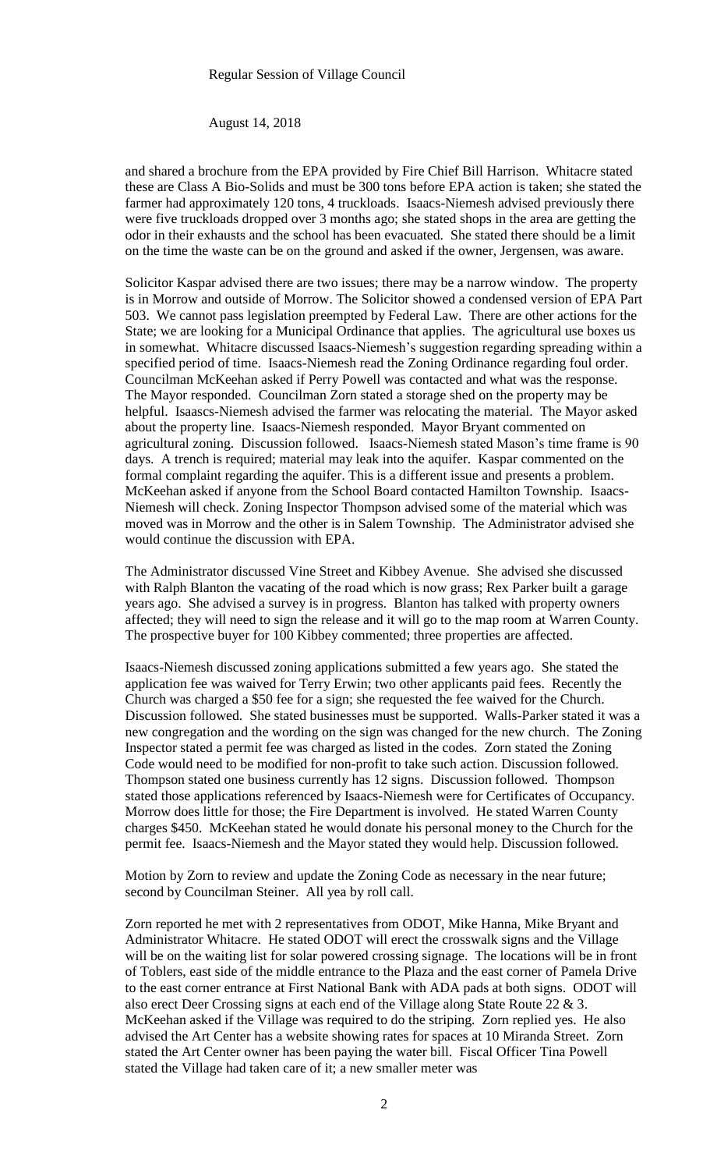#### August 14, 2018

and shared a brochure from the EPA provided by Fire Chief Bill Harrison. Whitacre stated these are Class A Bio-Solids and must be 300 tons before EPA action is taken; she stated the farmer had approximately 120 tons, 4 truckloads. Isaacs-Niemesh advised previously there were five truckloads dropped over 3 months ago; she stated shops in the area are getting the odor in their exhausts and the school has been evacuated. She stated there should be a limit on the time the waste can be on the ground and asked if the owner, Jergensen, was aware.

Solicitor Kaspar advised there are two issues; there may be a narrow window. The property is in Morrow and outside of Morrow. The Solicitor showed a condensed version of EPA Part 503. We cannot pass legislation preempted by Federal Law. There are other actions for the State; we are looking for a Municipal Ordinance that applies. The agricultural use boxes us in somewhat. Whitacre discussed Isaacs-Niemesh's suggestion regarding spreading within a specified period of time. Isaacs-Niemesh read the Zoning Ordinance regarding foul order. Councilman McKeehan asked if Perry Powell was contacted and what was the response. The Mayor responded. Councilman Zorn stated a storage shed on the property may be helpful. Isaascs-Niemesh advised the farmer was relocating the material. The Mayor asked about the property line. Isaacs-Niemesh responded. Mayor Bryant commented on agricultural zoning. Discussion followed. Isaacs-Niemesh stated Mason's time frame is 90 days. A trench is required; material may leak into the aquifer. Kaspar commented on the formal complaint regarding the aquifer. This is a different issue and presents a problem. McKeehan asked if anyone from the School Board contacted Hamilton Township. Isaacs-Niemesh will check. Zoning Inspector Thompson advised some of the material which was moved was in Morrow and the other is in Salem Township. The Administrator advised she would continue the discussion with EPA.

The Administrator discussed Vine Street and Kibbey Avenue. She advised she discussed with Ralph Blanton the vacating of the road which is now grass; Rex Parker built a garage years ago. She advised a survey is in progress. Blanton has talked with property owners affected; they will need to sign the release and it will go to the map room at Warren County. The prospective buyer for 100 Kibbey commented; three properties are affected.

Isaacs-Niemesh discussed zoning applications submitted a few years ago. She stated the application fee was waived for Terry Erwin; two other applicants paid fees. Recently the Church was charged a \$50 fee for a sign; she requested the fee waived for the Church. Discussion followed. She stated businesses must be supported. Walls-Parker stated it was a new congregation and the wording on the sign was changed for the new church. The Zoning Inspector stated a permit fee was charged as listed in the codes. Zorn stated the Zoning Code would need to be modified for non-profit to take such action. Discussion followed. Thompson stated one business currently has 12 signs. Discussion followed. Thompson stated those applications referenced by Isaacs-Niemesh were for Certificates of Occupancy. Morrow does little for those; the Fire Department is involved. He stated Warren County charges \$450. McKeehan stated he would donate his personal money to the Church for the permit fee. Isaacs-Niemesh and the Mayor stated they would help. Discussion followed.

Motion by Zorn to review and update the Zoning Code as necessary in the near future; second by Councilman Steiner. All yea by roll call.

Zorn reported he met with 2 representatives from ODOT, Mike Hanna, Mike Bryant and Administrator Whitacre. He stated ODOT will erect the crosswalk signs and the Village will be on the waiting list for solar powered crossing signage. The locations will be in front of Toblers, east side of the middle entrance to the Plaza and the east corner of Pamela Drive to the east corner entrance at First National Bank with ADA pads at both signs. ODOT will also erect Deer Crossing signs at each end of the Village along State Route 22 & 3. McKeehan asked if the Village was required to do the striping. Zorn replied yes. He also advised the Art Center has a website showing rates for spaces at 10 Miranda Street. Zorn stated the Art Center owner has been paying the water bill. Fiscal Officer Tina Powell stated the Village had taken care of it; a new smaller meter was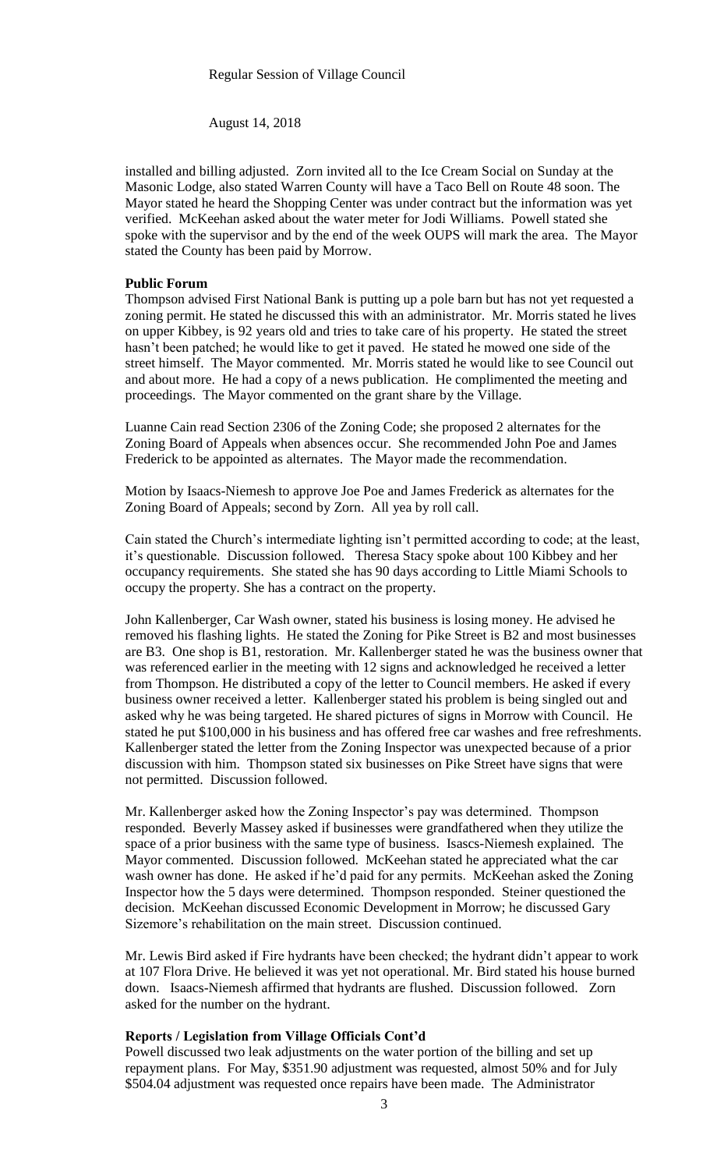August 14, 2018

installed and billing adjusted. Zorn invited all to the Ice Cream Social on Sunday at the Masonic Lodge, also stated Warren County will have a Taco Bell on Route 48 soon. The Mayor stated he heard the Shopping Center was under contract but the information was yet verified. McKeehan asked about the water meter for Jodi Williams. Powell stated she spoke with the supervisor and by the end of the week OUPS will mark the area. The Mayor stated the County has been paid by Morrow.

## **Public Forum**

Thompson advised First National Bank is putting up a pole barn but has not yet requested a zoning permit. He stated he discussed this with an administrator. Mr. Morris stated he lives on upper Kibbey, is 92 years old and tries to take care of his property. He stated the street hasn't been patched; he would like to get it paved. He stated he mowed one side of the street himself. The Mayor commented. Mr. Morris stated he would like to see Council out and about more. He had a copy of a news publication. He complimented the meeting and proceedings. The Mayor commented on the grant share by the Village.

Luanne Cain read Section 2306 of the Zoning Code; she proposed 2 alternates for the Zoning Board of Appeals when absences occur. She recommended John Poe and James Frederick to be appointed as alternates. The Mayor made the recommendation.

Motion by Isaacs-Niemesh to approve Joe Poe and James Frederick as alternates for the Zoning Board of Appeals; second by Zorn. All yea by roll call.

Cain stated the Church's intermediate lighting isn't permitted according to code; at the least, it's questionable. Discussion followed. Theresa Stacy spoke about 100 Kibbey and her occupancy requirements. She stated she has 90 days according to Little Miami Schools to occupy the property. She has a contract on the property.

John Kallenberger, Car Wash owner, stated his business is losing money. He advised he removed his flashing lights. He stated the Zoning for Pike Street is B2 and most businesses are B3. One shop is B1, restoration. Mr. Kallenberger stated he was the business owner that was referenced earlier in the meeting with 12 signs and acknowledged he received a letter from Thompson. He distributed a copy of the letter to Council members. He asked if every business owner received a letter. Kallenberger stated his problem is being singled out and asked why he was being targeted. He shared pictures of signs in Morrow with Council. He stated he put \$100,000 in his business and has offered free car washes and free refreshments. Kallenberger stated the letter from the Zoning Inspector was unexpected because of a prior discussion with him. Thompson stated six businesses on Pike Street have signs that were not permitted. Discussion followed.

Mr. Kallenberger asked how the Zoning Inspector's pay was determined. Thompson responded. Beverly Massey asked if businesses were grandfathered when they utilize the space of a prior business with the same type of business. Isascs-Niemesh explained. The Mayor commented. Discussion followed. McKeehan stated he appreciated what the car wash owner has done. He asked if he'd paid for any permits. McKeehan asked the Zoning Inspector how the 5 days were determined. Thompson responded. Steiner questioned the decision. McKeehan discussed Economic Development in Morrow; he discussed Gary Sizemore's rehabilitation on the main street. Discussion continued.

Mr. Lewis Bird asked if Fire hydrants have been checked; the hydrant didn't appear to work at 107 Flora Drive. He believed it was yet not operational. Mr. Bird stated his house burned down. Isaacs-Niemesh affirmed that hydrants are flushed. Discussion followed. Zorn asked for the number on the hydrant.

# **Reports / Legislation from Village Officials Cont'd**

Powell discussed two leak adjustments on the water portion of the billing and set up repayment plans. For May, \$351.90 adjustment was requested, almost 50% and for July \$504.04 adjustment was requested once repairs have been made. The Administrator